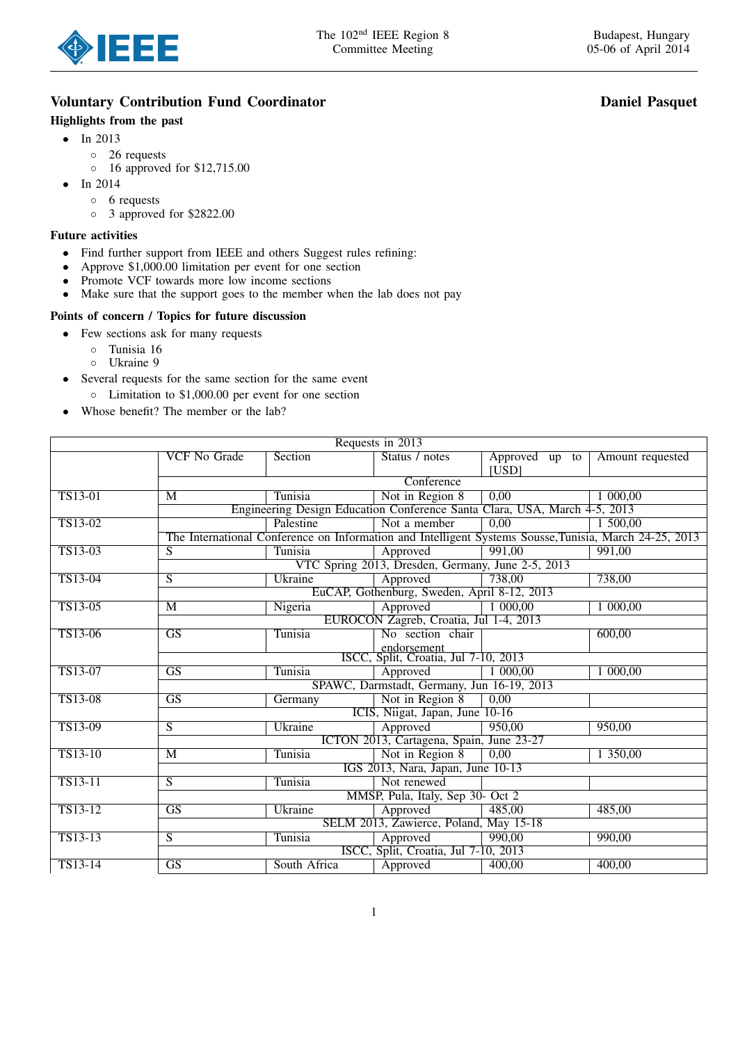

# Voluntary Contribution Fund Coordinator **Daniel Pasquet** Daniel Pasquet

## Highlights from the past

- In 2013
	- 26 requests
	- 16 approved for \$12,715.00
- In 2014
	- 6 requests
	- 3 approved for \$2822.00

#### Future activities

- Find further support from IEEE and others Suggest rules refining:
- Approve \$1,000.00 limitation per event for one section
- Promote VCF towards more low income sections
- Make sure that the support goes to the member when the lab does not pay

### Points of concern / Topics for future discussion

- Few sections ask for many requests
	- Tunisia 16
	- Ukraine 9
- Several requests for the same section for the same event
	- Limitation to \$1,000.00 per event for one section
- Whose benefit? The member or the lab?

| Requests in 2013 |                                                                                                        |                                                     |                                      |                         |                  |  |  |
|------------------|--------------------------------------------------------------------------------------------------------|-----------------------------------------------------|--------------------------------------|-------------------------|------------------|--|--|
|                  | <b>VCF No Grade</b>                                                                                    | Section                                             | Status / notes                       | Approved up to<br>[USD] | Amount requested |  |  |
|                  | Conference                                                                                             |                                                     |                                      |                         |                  |  |  |
| TS13-01          | M                                                                                                      | Tunisia                                             | Not in Region 8                      | 0,00                    | 1 000,00         |  |  |
|                  | Engineering Design Education Conference Santa Clara, USA, March 4-5, 2013                              |                                                     |                                      |                         |                  |  |  |
| TS13-02          |                                                                                                        | Palestine                                           | Not a member                         | 0,00                    | 1,500,00         |  |  |
|                  | The International Conference on Information and Intelligent Systems Sousse, Tunisia, March 24-25, 2013 |                                                     |                                      |                         |                  |  |  |
| TS13-03          | $\overline{S}$                                                                                         | Tunisia                                             | Approved                             | 991,00                  | 991,00           |  |  |
|                  |                                                                                                        | VTC Spring 2013, Dresden, Germany, June 2-5, 2013   |                                      |                         |                  |  |  |
| TS13-04          | $\overline{S}$                                                                                         | Ukraine                                             | Approved                             | 738,00                  | 738,00           |  |  |
|                  | EuCAP, Gothenburg, Sweden, April 8-12, 2013                                                            |                                                     |                                      |                         |                  |  |  |
| TS13-05          | M                                                                                                      | Nigeria                                             | Approved                             | 1 000,00                | 1 000,00         |  |  |
|                  |                                                                                                        | EUROCON Zagreb, Croatia, Jul 1-4, 2013              |                                      |                         |                  |  |  |
| TS13-06          | $\overline{\text{GS}}$                                                                                 | Tunisia                                             | No section chair                     |                         | 600,00           |  |  |
|                  |                                                                                                        | endorsement<br>ISCC, Split, Croatia, Jul 7-10, 2013 |                                      |                         |                  |  |  |
|                  |                                                                                                        |                                                     |                                      |                         |                  |  |  |
| TS13-07          | $\overline{GS}$                                                                                        | Tunisia                                             | Approved                             | 1 000,00                | 1 000,00         |  |  |
|                  | SPAWC, Darmstadt, Germany, Jun 16-19, 2013                                                             |                                                     |                                      |                         |                  |  |  |
| TS13-08          | $\overline{\text{GS}}$                                                                                 | Germany                                             | Not in Region 8                      | 0,00                    |                  |  |  |
|                  | ICIS, Niigat, Japan, June 10-16                                                                        |                                                     |                                      |                         |                  |  |  |
| TS13-09          | $\overline{S}$                                                                                         | Ukraine                                             | Approved                             | 950,00                  | 950,00           |  |  |
|                  | ICTON 2013, Cartagena, Spain, June 23-27                                                               |                                                     |                                      |                         |                  |  |  |
| TS13-10          | M                                                                                                      | Tunisia                                             | Not in Region 8                      | $0,\overline{00}$       | 1 350,00         |  |  |
|                  | IGS 2013, Nara, Japan, June 10-13                                                                      |                                                     |                                      |                         |                  |  |  |
| TS13-11          | $\overline{S}$                                                                                         | Tunisia                                             | Not renewed                          |                         |                  |  |  |
|                  | MMSP, Pula, Italy, Sep 30- Oct 2                                                                       |                                                     |                                      |                         |                  |  |  |
| TS13-12          | $\overline{\text{GS}}$                                                                                 | Ukraine                                             | Approved                             | 485,00                  | 485,00           |  |  |
|                  | SELM 2013, Zawierce, Poland, May 15-18                                                                 |                                                     |                                      |                         |                  |  |  |
| TS13-13          |                                                                                                        |                                                     | Approved                             | 990,00                  | 990,00           |  |  |
|                  | $\overline{S}$                                                                                         | Tunisia                                             |                                      |                         |                  |  |  |
|                  |                                                                                                        | South Africa                                        | ISCC, Split, Croatia, Jul 7-10, 2013 |                         |                  |  |  |